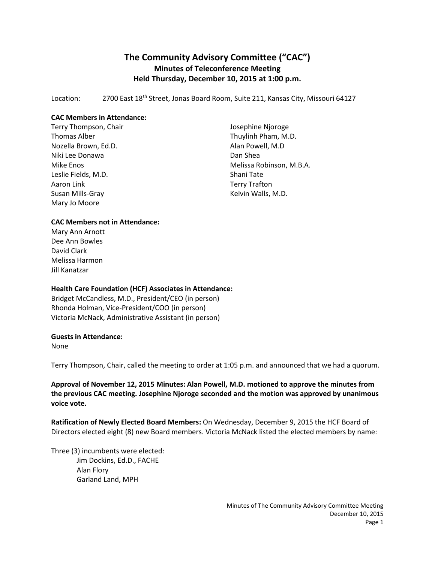# **The Community Advisory Committee ("CAC") Minutes of Teleconference Meeting Held Thursday, December 10, 2015 at 1:00 p.m.**

Location: 2700 East 18<sup>th</sup> Street, Jonas Board Room, Suite 211, Kansas City, Missouri 64127

### **CAC Members in Attendance:**

Terry Thompson, Chair Thomas Alber Nozella Brown, Ed.D. Niki Lee Donawa Mike Enos Leslie Fields, M.D. Aaron Link Susan Mills-Gray Mary Jo Moore

Josephine Njoroge Thuylinh Pham, M.D. Alan Powell, M.D Dan Shea Melissa Robinson, M.B.A. Shani Tate Terry Trafton Kelvin Walls, M.D.

#### **CAC Members not in Attendance:**

Mary Ann Arnott Dee Ann Bowles David Clark Melissa Harmon Jill Kanatzar

## **Health Care Foundation (HCF) Associates in Attendance:**

Bridget McCandless, M.D., President/CEO (in person) Rhonda Holman, Vice-President/COO (in person) Victoria McNack, Administrative Assistant (in person)

#### **Guests in Attendance:**

None

Terry Thompson, Chair, called the meeting to order at 1:05 p.m. and announced that we had a quorum.

**Approval of November 12, 2015 Minutes: Alan Powell, M.D. motioned to approve the minutes from the previous CAC meeting. Josephine Njoroge seconded and the motion was approved by unanimous voice vote.**

**Ratification of Newly Elected Board Members:** On Wednesday, December 9, 2015 the HCF Board of Directors elected eight (8) new Board members. Victoria McNack listed the elected members by name:

Three (3) incumbents were elected: Jim Dockins, Ed.D., FACHE Alan Flory Garland Land, MPH